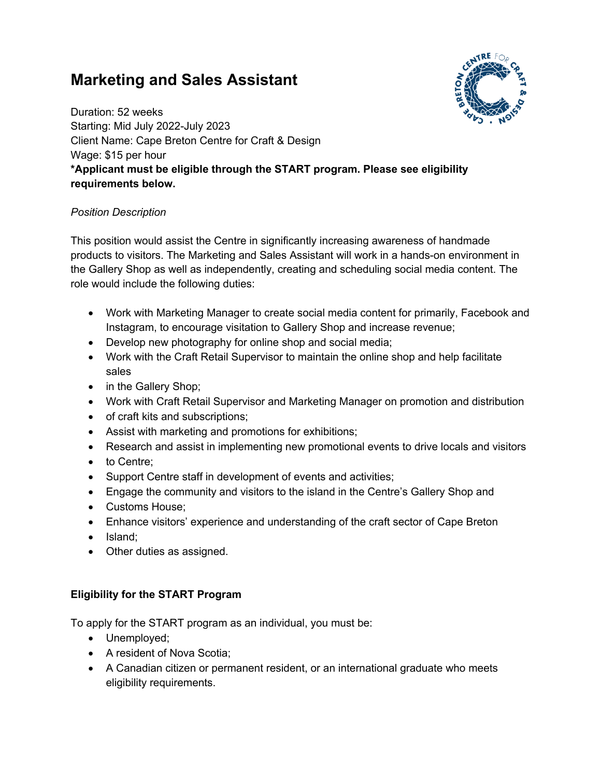## **Marketing and Sales Assistant**



Duration: 52 weeks Starting: Mid July 2022-July 2023 Client Name: Cape Breton Centre for Craft & Design Wage: \$15 per hour **\*Applicant must be eligible through the START program. Please see eligibility requirements below.**

## *Position Description*

This position would assist the Centre in significantly increasing awareness of handmade products to visitors. The Marketing and Sales Assistant will work in a hands-on environment in the Gallery Shop as well as independently, creating and scheduling social media content. The role would include the following duties:

- Work with Marketing Manager to create social media content for primarily, Facebook and Instagram, to encourage visitation to Gallery Shop and increase revenue;
- Develop new photography for online shop and social media;
- Work with the Craft Retail Supervisor to maintain the online shop and help facilitate sales
- in the Gallery Shop;
- Work with Craft Retail Supervisor and Marketing Manager on promotion and distribution
- of craft kits and subscriptions;
- Assist with marketing and promotions for exhibitions;
- Research and assist in implementing new promotional events to drive locals and visitors
- to Centre;
- Support Centre staff in development of events and activities;
- Engage the community and visitors to the island in the Centre's Gallery Shop and
- Customs House;
- Enhance visitors' experience and understanding of the craft sector of Cape Breton
- Island;
- Other duties as assigned.

## **Eligibility for the START Program**

To apply for the START program as an individual, you must be:

- Unemployed;
- A resident of Nova Scotia;
- A Canadian citizen or permanent resident, or an international graduate who meets eligibility requirements.